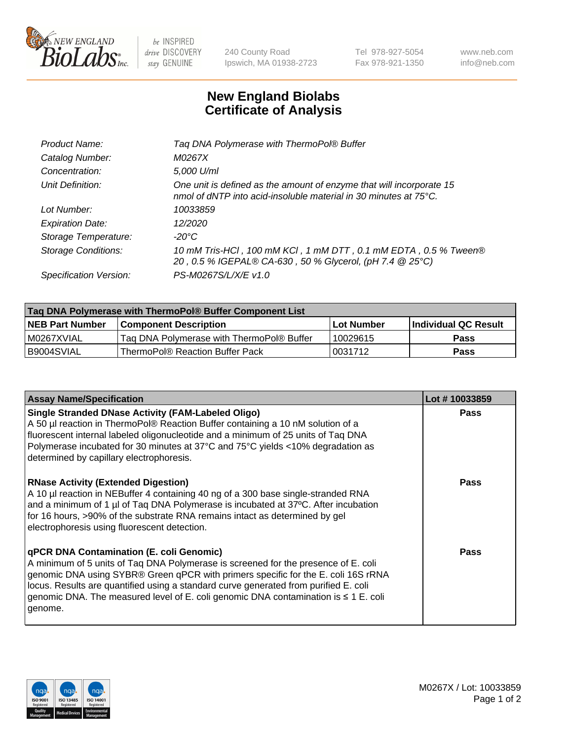

 $be$  INSPIRED drive DISCOVERY stay GENUINE

240 County Road Ipswich, MA 01938-2723 Tel 978-927-5054 Fax 978-921-1350 www.neb.com info@neb.com

## **New England Biolabs Certificate of Analysis**

| Taq DNA Polymerase with ThermoPol® Buffer                                                                                                |
|------------------------------------------------------------------------------------------------------------------------------------------|
| M0267X                                                                                                                                   |
| 5,000 U/ml                                                                                                                               |
| One unit is defined as the amount of enzyme that will incorporate 15<br>nmol of dNTP into acid-insoluble material in 30 minutes at 75°C. |
| 10033859                                                                                                                                 |
| 12/2020                                                                                                                                  |
| $-20^{\circ}$ C                                                                                                                          |
| 10 mM Tris-HCl, 100 mM KCl, 1 mM DTT, 0.1 mM EDTA, 0.5 % Tween®<br>20, 0.5 % IGEPAL® CA-630, 50 % Glycerol, (pH 7.4 @ 25°C)              |
| PS-M0267S/L/X/E v1.0                                                                                                                     |
|                                                                                                                                          |

| Tag DNA Polymerase with ThermoPol® Buffer Component List |                                           |                   |                      |  |
|----------------------------------------------------------|-------------------------------------------|-------------------|----------------------|--|
| <b>NEB Part Number</b>                                   | <b>Component Description</b>              | <b>Lot Number</b> | Individual QC Result |  |
| l M0267XVIAL                                             | Taq DNA Polymerase with ThermoPol® Buffer | 10029615          | <b>Pass</b>          |  |
| I B9004SVIAL                                             | ThermoPol® Reaction Buffer Pack           | '0031712          | <b>Pass</b>          |  |

| <b>Assay Name/Specification</b>                                                                                                                                                                                                                                                                                                                                                                               | Lot #10033859 |
|---------------------------------------------------------------------------------------------------------------------------------------------------------------------------------------------------------------------------------------------------------------------------------------------------------------------------------------------------------------------------------------------------------------|---------------|
| <b>Single Stranded DNase Activity (FAM-Labeled Oligo)</b><br>A 50 µl reaction in ThermoPol® Reaction Buffer containing a 10 nM solution of a<br>fluorescent internal labeled oligonucleotide and a minimum of 25 units of Taq DNA<br>Polymerase incubated for 30 minutes at 37°C and 75°C yields <10% degradation as<br>determined by capillary electrophoresis.                                              | Pass          |
| <b>RNase Activity (Extended Digestion)</b><br>A 10 µl reaction in NEBuffer 4 containing 40 ng of a 300 base single-stranded RNA<br>and a minimum of 1 µl of Taq DNA Polymerase is incubated at 37°C. After incubation<br>for 16 hours, >90% of the substrate RNA remains intact as determined by gel<br>electrophoresis using fluorescent detection.                                                          | <b>Pass</b>   |
| qPCR DNA Contamination (E. coli Genomic)<br>A minimum of 5 units of Taq DNA Polymerase is screened for the presence of E. coli<br>genomic DNA using SYBR® Green qPCR with primers specific for the E. coli 16S rRNA<br>locus. Results are quantified using a standard curve generated from purified E. coli<br>genomic DNA. The measured level of E. coli genomic DNA contamination is ≤ 1 E. coli<br>genome. | Pass          |